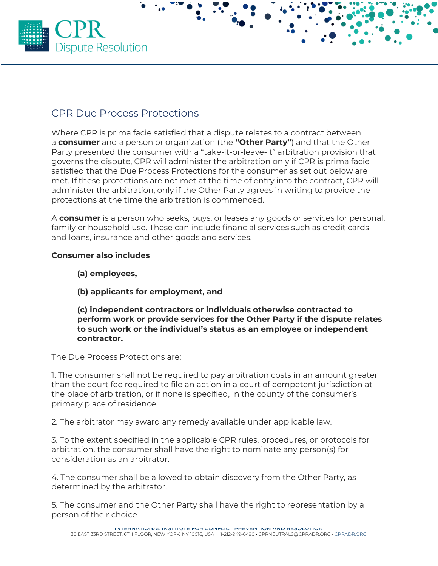

## CPR Due Process Protections

Where CPR is prima facie satisfied that a dispute relates to a contract between a **consumer** and a person or organization (the **"Other Party"**) and that the Other Party presented the consumer with a "take-it-or-leave-it" arbitration provision that governs the dispute, CPR will administer the arbitration only if CPR is prima facie satisfied that the Due Process Protections for the consumer as set out below are met. If these protections are not met at the time of entry into the contract, CPR will administer the arbitration, only if the Other Party agrees in writing to provide the protections at the time the arbitration is commenced.

A **consumer** is a person who seeks, buys, or leases any goods or services for personal, family or household use. These can include financial services such as credit cards and loans, insurance and other goods and services.

## **Consumer also includes**

- **(a) employees,**
- **(b) applicants for employment, and**

**(c) independent contractors or individuals otherwise contracted to perform work or provide services for the Other Party if the dispute relates to such work or the individual's status as an employee or independent contractor.**

The Due Process Protections are:

1. The consumer shall not be required to pay arbitration costs in an amount greater than the court fee required to file an action in a court of competent jurisdiction at the place of arbitration, or if none is specified, in the county of the consumer's primary place of residence.

2. The arbitrator may award any remedy available under applicable law.

3. To the extent specified in the applicable CPR rules, procedures, or protocols for arbitration, the consumer shall have the right to nominate any person(s) for consideration as an arbitrator.

4. The consumer shall be allowed to obtain discovery from the Other Party, as determined by the arbitrator.

5. The consumer and the Other Party shall have the right to representation by a person of their choice.